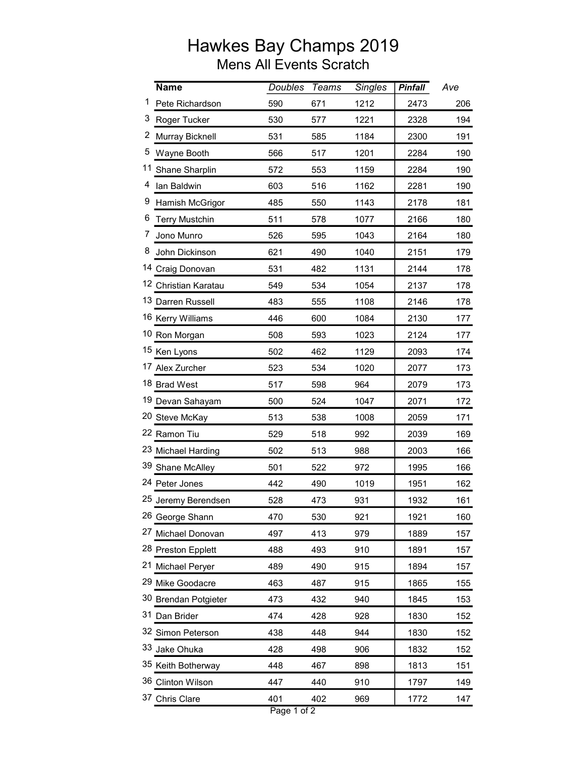## Hawkes Bay Champs 2019 Mens All Events Scratch

|   | <b>Name</b>           | <b>Doubles</b> | <b>Teams</b> | <b>Singles</b> | <b>Pinfall</b> | Ave |
|---|-----------------------|----------------|--------------|----------------|----------------|-----|
| 1 | Pete Richardson       | 590            | 671          | 1212           | 2473           | 206 |
| 3 | Roger Tucker          | 530            | 577          | 1221           | 2328           | 194 |
| 2 | Murray Bicknell       | 531            | 585          | 1184           | 2300           | 191 |
| 5 | Wayne Booth           | 566            | 517          | 1201           | 2284           | 190 |
|   | 11 Shane Sharplin     | 572            | 553          | 1159           | 2284           | 190 |
| 4 | lan Baldwin           | 603            | 516          | 1162           | 2281           | 190 |
| 9 | Hamish McGrigor       | 485            | 550          | 1143           | 2178           | 181 |
| 6 | <b>Terry Mustchin</b> | 511            | 578          | 1077           | 2166           | 180 |
| 7 | Jono Munro            | 526            | 595          | 1043           | 2164           | 180 |
|   | 8 John Dickinson      | 621            | 490          | 1040           | 2151           | 179 |
|   | 14 Craig Donovan      | 531            | 482          | 1131           | 2144           | 178 |
|   | 12 Christian Karatau  | 549            | 534          | 1054           | 2137           | 178 |
|   | 13 Darren Russell     | 483            | 555          | 1108           | 2146           | 178 |
|   | 16 Kerry Williams     | 446            | 600          | 1084           | 2130           | 177 |
|   | 10 Ron Morgan         | 508            | 593          | 1023           | 2124           | 177 |
|   | 15 Ken Lyons          | 502            | 462          | 1129           | 2093           | 174 |
|   | 17 Alex Zurcher       | 523            | 534          | 1020           | 2077           | 173 |
|   | 18 Brad West          | 517            | 598          | 964            | 2079           | 173 |
|   | 19 Devan Sahayam      | 500            | 524          | 1047           | 2071           | 172 |
|   | 20 Steve McKay        | 513            | 538          | 1008           | 2059           | 171 |
|   | 22 Ramon Tiu          | 529            | 518          | 992            | 2039           | 169 |
|   | 23 Michael Harding    | 502            | 513          | 988            | 2003           | 166 |
|   | 39 Shane McAlley      | 501            | 522          | 972            | 1995           | 166 |
|   | 24 Peter Jones        | 442            | 490          | 1019           | 1951           | 162 |
|   | 25 Jeremy Berendsen   | 528            | 473          | 931            | 1932           | 161 |
|   | 26 George Shann       | 470            | 530          | 921            | 1921           | 160 |
|   | 27 Michael Donovan    | 497            | 413          | 979            | 1889           | 157 |
|   | 28 Preston Epplett    | 488            | 493          | 910            | 1891           | 157 |
|   | 21 Michael Peryer     | 489            | 490          | 915            | 1894           | 157 |
|   | 29 Mike Goodacre      | 463            | 487          | 915            | 1865           | 155 |
|   | 30 Brendan Potgieter  | 473            | 432          | 940            | 1845           | 153 |
|   | 31 Dan Brider         | 474            | 428          | 928            | 1830           | 152 |
|   | 32 Simon Peterson     | 438            | 448          | 944            | 1830           | 152 |
|   | 33 Jake Ohuka         | 428            | 498          | 906            | 1832           | 152 |
|   | 35 Keith Botherway    | 448            | 467          | 898            | 1813           | 151 |
|   | 36 Clinton Wilson     | 447            | 440          | 910            | 1797           | 149 |
|   | 37 Chris Clare        | 401            | 402          | 969            | 1772           | 147 |
|   |                       |                |              |                |                |     |